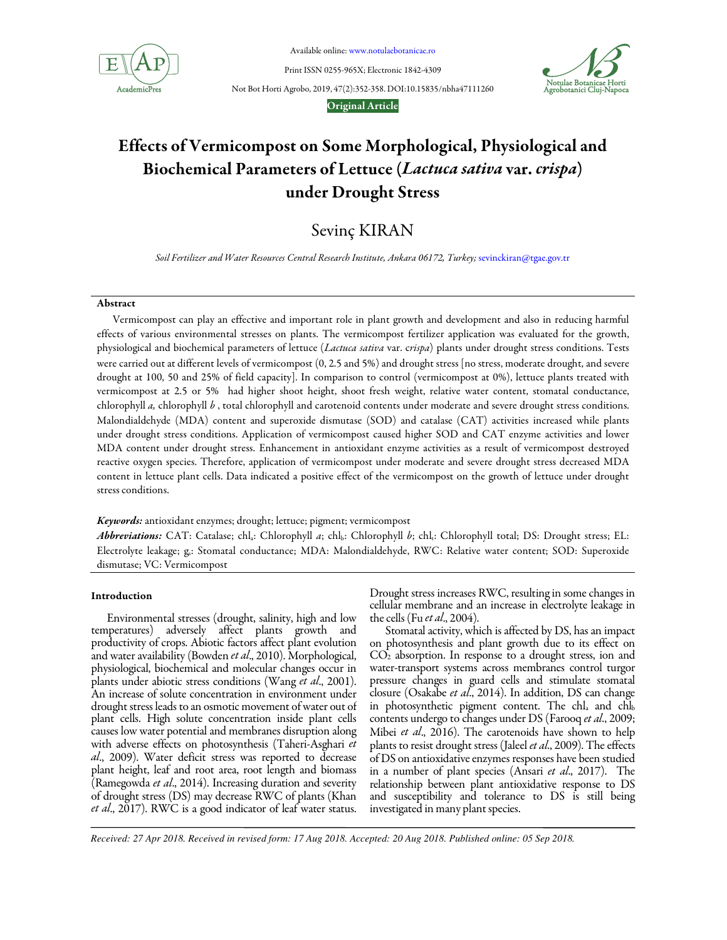

Available online: www.notulaebotanicae.ro

Print ISSN 0255-965X; Electronic 1842-4309

Not Bot Horti Agrobo, 2019, 47(2):352-358. DOI:10.15835/nbha47111260



## Original Article

# Effects of Vermicompost on Some Morphological, Physiological and Biochemical Parameters of Lettuce (Lactuca sativa var. crispa) under Drought Stress

Sevinç KIRAN

*Soil Fertilizer and Water Resources Central Research Institute, Ankara 06172, Turkey;* sevinckiran@tgae.gov.tr

# Abstract

Vermicompost can play an effective and important role in plant growth and development and also in reducing harmful effects of various environmental stresses on plants. The vermicompost fertilizer application was evaluated for the growth, physiological and biochemical parameters of lettuce (*Lactuca sativa* var. c*rispa*) plants under drought stress conditions. Tests were carried out at different levels of vermicompost (0, 2.5 and 5%) and drought stress [no stress, moderate drought, and severe drought at 100, 50 and 25% of field capacity]. In comparison to control (vermicompost at 0%), lettuce plants treated with vermicompost at 2.5 or 5% had higher shoot height, shoot fresh weight, relative water content, stomatal conductance, chlorophyll *a,* chlorophyll *b* , total chlorophyll and carotenoid contents under moderate and severe drought stress conditions. Malondialdehyde (MDA) content and superoxide dismutase (SOD) and catalase (CAT) activities increased while plants under drought stress conditions. Application of vermicompost caused higher SOD and CAT enzyme activities and lower MDA content under drought stress. Enhancement in antioxidant enzyme activities as a result of vermicompost destroyed reactive oxygen species. Therefore, application of vermicompost under moderate and severe drought stress decreased MDA content in lettuce plant cells. Data indicated a positive effect of the vermicompost on the growth of lettuce under drought stress conditions.

Keywords: antioxidant enzymes; drought; lettuce; pigment; vermicompost

Abbreviations: CAT: Catalase; chl<sub>a</sub>: Chlorophyll *a*; chl<sub>b</sub>: Chlorophyll *b*; chl<sub>t</sub>: Chlorophyll total; DS: Drought stress; EL: Electrolyte leakage; g.: Stomatal conductance; MDA: Malondialdehyde, RWC: Relative water content; SOD: Superoxide dismutase; VC: Vermicompost

## Introduction

Environmental stresses (drought, salinity, high and low temperatures) adversely affect plants growth and productivity of crops. Abiotic factors affect plant evolution and water availability (Bowden *et al*., 2010). Morphological, physiological, biochemical and molecular changes occur in plants under abiotic stress conditions (Wang *et al*., 2001). An increase of solute concentration in environment under drought stress leads to an osmotic movement of water out of plant cells. High solute concentration inside plant cells causes low water potential and membranes disruption along with adverse effects on photosynthesis (Taheri-Asghari *et al*., 2009). Water deficit stress was reported to decrease plant height, leaf and root area, root length and biomass (Ramegowda *et al*., 2014). Increasing duration and severity of drought stress (DS) may decrease RWC of plants (Khan *et al*., 2017). RWC is a good indicator of leaf water status.

Drought stress increases RWC, resulting in some changes in cellular membrane and an increase in electrolyte leakage in the cells (Fu *et al*., 2004).

Stomatal activity, which is affected by DS, has an impact on photosynthesis and plant growth due to its effect on  $CO<sub>2</sub>$  absorption. In response to a drought stress, ion and water-transport systems across membranes control turgor pressure changes in guard cells and stimulate stomatal closure (Osakabe *et al*., 2014). In addition, DS can change in photosynthetic pigment content. The  $\text{chl}_a$  and  $\text{chl}_b$ contents undergo to changes under DS (Farooq *et al*., 2009; Mibei *et al*., 2016). The carotenoids have shown to help plants to resist drought stress (Jaleel *et al*., 2009). The effects of DS on antioxidative enzymes responses have been studied in a number of plant species (Ansari *et al*., 2017). The relationship between plant antioxidative response to DS and susceptibility and tolerance to DS is still being investigated in many plant species.

*Received: 27 Apr 2018. Received in revised form: 17 Aug 2018. Accepted: 20 Aug 2018. Published online: 05 Sep 2018.*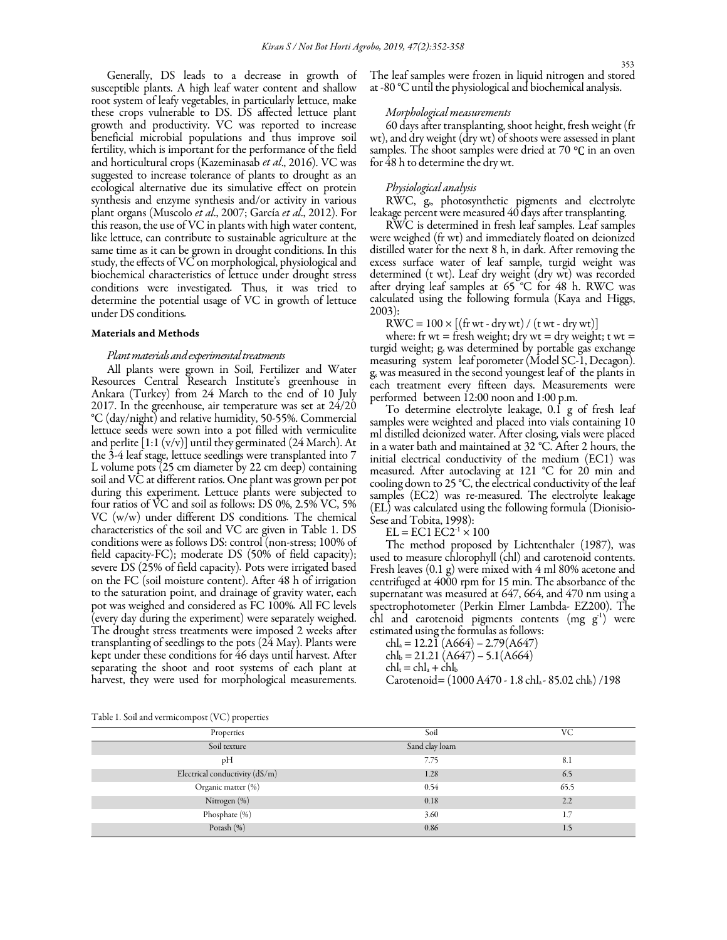Generally, DS leads to a decrease in growth of susceptible plants. A high leaf water content and shallow root system of leafy vegetables, in particularly lettuce, make these crops vulnerable to DS. DS affected lettuce plant growth and productivity. VC was reported to increase beneficial microbial populations and thus improve soil fertility, which is important for the performance of the field and horticultural crops (Kazeminasab *et al*., 2016). VC was suggested to increase tolerance of plants to drought as an ecological alternative due its simulative effect on protein synthesis and enzyme synthesis and/or activity in various plant organs (Muscolo *et al*., 2007; García *et al*., 2012). For this reason, the use of VC in plants with high water content, like lettuce, can contribute to sustainable agriculture at the same time as it can be grown in drought conditions. In this study, the effects of VC on morphological, physiological and biochemical characteristics of lettuce under drought stress conditions were investigated*.* Thus, it was tried to determine the potential usage of VC in growth of lettuce under DS conditions*.* 

# Materials and Methods

## *Plant materials and experimental treatments*

All plants were grown in Soil, Fertilizer and Water Resources Central Research Institute's greenhouse in Ankara (Turkey) from 24 March to the end of 10 July 2017. In the greenhouse, air temperature was set at 24/20 °C (day/night) and relative humidity, 50-55%. Commercial lettuce seeds were sown into a pot filled with vermiculite and perlite [1:1 (v/v)] until they germinated (24 March). At the 3-4 leaf stage, lettuce seedlings were transplanted into 7 L volume pots (25 cm diameter by 22 cm deep) containing soil and VC at different ratios. One plant was grown per pot during this experiment. Lettuce plants were subjected to four ratios of VC and soil as follows: DS 0%, 2.5% VC, 5% VC (w/w) under different DS conditions*.* The chemical characteristics of the soil and VC are given in Table 1. DS conditions were as follows DS: control (non-stress; 100% of field capacity-FC); moderate DS (50% of field capacity); severe DS (25% of field capacity)*.* Pots were irrigated based on the FC (soil moisture content). After 48 h of irrigation to the saturation point, and drainage of gravity water, each pot was weighed and considered as FC 100%*.* All FC levels (every day during the experiment) were separately weighed. The drought stress treatments were imposed 2 weeks after transplanting of seedlings to the pots (24 May). Plants were kept under these conditions for 46 days until harvest. After separating the shoot and root systems of each plant at harvest, they were used for morphological measurements.

The leaf samples were frozen in liquid nitrogen and stored at -80 °C until the physiological and biochemical analysis.

### *Morphological measurements*

60 days after transplanting, shoot height, fresh weight (fr wt), and dry weight (dry wt) of shoots were assessed in plant samples. The shoot samples were dried at 70 ℃ in an oven for 48 h to determine the dry wt.

# *Physiological analysis*

RWC, gs, photosynthetic pigments and electrolyte leakage percent were measured 40 days after transplanting.

RWC is determined in fresh leaf samples. Leaf samples were weighed (fr wt) and immediately floated on deionized distilled water for the next 8 h, in dark. After removing the excess surface water of leaf sample, turgid weight was determined (t wt). Leaf dry weight (dry wt) was recorded after drying leaf samples at 65 °C for 48 h. RWC was calculated using the following formula (Kaya and Higgs, 2003):

 $\text{RWC} = 100 \times \left[ \text{(fr wt - dry wt)} / \text{(t wt - dry wt)} \right]$ 

where: fr wt = fresh weight; dry wt = dry weight; t wt = turgid weight; g was determined by portable gas exchange measuring system leaf porometer (Model SC-1, Decagon). g<sup>s</sup> was measured in the second youngest leaf of the plants in each treatment every fifteen days. Measurements were performed between 12:00 noon and 1:00 p.m.

To determine electrolyte leakage, 0.1 g of fresh leaf samples were weighted and placed into vials containing 10 ml distilled deionized water. After closing, vials were placed in a water bath and maintained at 32 °C. After 2 hours, the initial electrical conductivity of the medium (EC1) was measured. After autoclaving at 121 °C for 20 min and cooling down to 25 °C, the electrical conductivity of the leaf samples (EC2) was re-measured. The electrolyte leakage (EL) was calculated using the following formula (Dionisio-Sese and Tobita, 1998):

 $EL = EC1 EC2^{-1} \times 100$ 

The method proposed by Lichtenthaler (1987), was used to measure chlorophyll (chl) and carotenoid contents. Fresh leaves (0.1 g) were mixed with 4 ml 80% acetone and centrifuged at 4000 rpm for 15 min. The absorbance of the supernatant was measured at 647, 664, and 470 nm using a spectrophotometer (Perkin Elmer Lambda- EZ200). The chl and carotenoid pigments contents  $(mg g<sup>-1</sup>)$  were estimated using the formulas as follows:

 $\text{chl}_a = 12.2\,\text{I} \left( \text{A}664 \right) - 2.79 \left( \text{A}647 \right)$  $\text{chl}_b = 21.21 \, (\text{A}647) - 5.1 \, (\text{A}664)$  $chl<sub>r</sub> = chl<sub>a</sub> + chl<sub>b</sub>$ Carotenoid= (1000 A470 - 1.8 chl<sub>a</sub> - 85.02 chl<sub>b</sub>) /198

Table 1. Soil and vermicompost (VC) properties

| Properties                       | Soil           | VC   |
|----------------------------------|----------------|------|
| Soil texture                     | Sand clay loam |      |
| pH                               | 7.75           | 8.1  |
| Electrical conductivity $(dS/m)$ | 1.28           | 6.5  |
| Organic matter (%)               | 0.54           | 65.5 |
| Nitrogen (%)                     | 0.18           | 2.2  |
| Phosphate (%)                    | 3.60           | 1.7  |
| Potash (%)                       | 0.86           | 1.5  |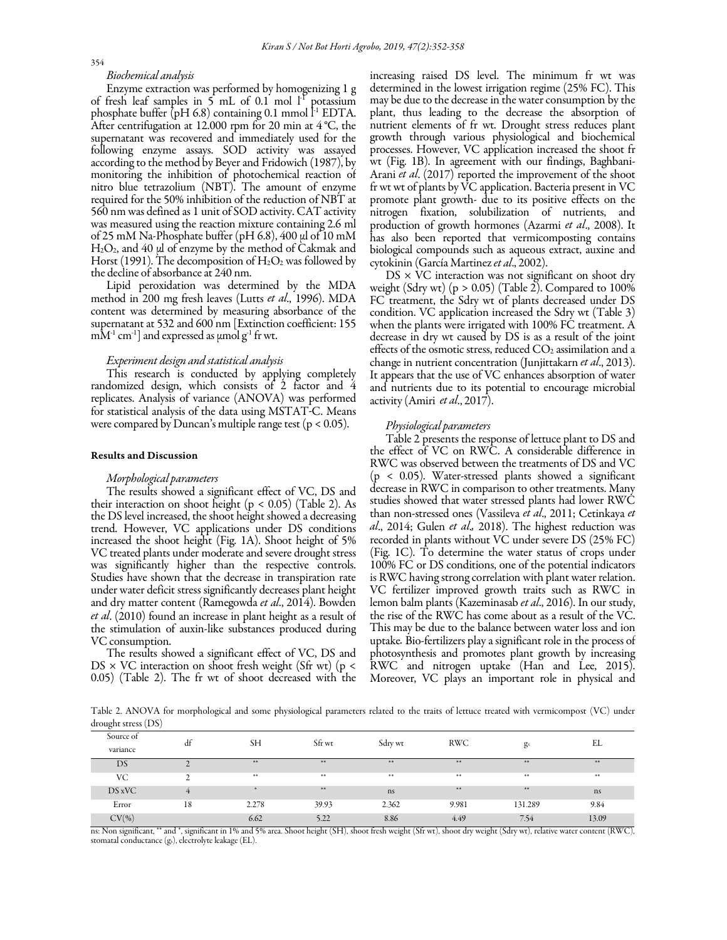## *Biochemical analysis*

Enzyme extraction was performed by homogenizing 1 g of fresh leaf samples in  $5$  mL of 0.1 mol  $1<sup>T</sup>$  potassium phosphate buffer (pH 6.8) containing 0.1 mmol  $l^1$  EDTA. After centrifugation at 12.000 rpm for 20 min at 4 °C, the supernatant was recovered and immediately used for the following enzyme assays. SOD activity was assayed according to the method by Beyer and Fridowich (1987), by monitoring the inhibition of photochemical reaction of nitro blue tetrazolium (NBT). The amount of enzyme required for the 50% inhibition of the reduction of NBT at 560 nm was defined as 1 unit of SOD activity. CAT activity was measured using the reaction mixture containing 2.6 ml of 25 mM Na-Phosphate buffer (pH 6.8), 400 µl of 10 mM H<sub>2</sub>O<sub>2</sub>, and 40 µl of enzyme by the method of Cakmak and Horst (1991). The decomposition of  $\rm H_2O_2$  was followed by the decline of absorbance at 240 nm.

Lipid peroxidation was determined by the MDA method in 200 mg fresh leaves (Lutts *et al*., 1996). MDA content was determined by measuring absorbance of the supernatant at 532 and 600 nm [Extinction coefficient: 155  $mM<sup>-1</sup>$  cm<sup>-1</sup>] and expressed as  $\mu$ mol g<sup>-1</sup> fr wt.

## *Experiment design and statistical analysis*

This research is conducted by applying completely randomized design, which consists of 2 factor and 4 replicates. Analysis of variance (ANOVA) was performed for statistical analysis of the data using MSTAT*-*C. Means were compared by Duncan's multiple range test ( $p < 0.05$ ).

## Results and Discussion

#### *Morphological parameters*

The results showed a significant effect of VC, DS and their interaction on shoot height ( $p < 0.05$ ) (Table 2). As the DS level increased, the shoot height showed a decreasing trend. However, VC applications under DS conditions increased the shoot height (Fig. 1A). Shoot height of 5% VC treated plants under moderate and severe drought stress was significantly higher than the respective controls. Studies have shown that the decrease in transpiration rate under water deficit stress significantly decreases plant height and dry matter content (Ramegowda *et al*., 2014). Bowden *et al*. (2010) found an increase in plant height as a result of the stimulation of auxin-like substances produced during VC consumption.

The results showed a significant effect of VC, DS and  $DS \times VC$  interaction on shoot fresh weight (Sfr wt) (p < 0.05) (Table 2). The fr wt of shoot decreased with the increasing raised DS level. The minimum fr wt was determined in the lowest irrigation regime (25% FC). This may be due to the decrease in the water consumption by the plant, thus leading to the decrease the absorption of nutrient elements of fr wt. Drought stress reduces plant growth through various physiological and biochemical processes. However, VC application increased the shoot fr wt (Fig. 1B). In agreement with our findings, Baghbani-Arani *et al*. (2017) reported the improvement of the shoot fr wt wt of plants by VC application. Bacteria present in VC promote plant growth- due to its positive effects on the nitrogen fixation, solubilization of nutrients, and production of growth hormones (Azarmi *et al*., 2008). It has also been reported that vermicomposting contains biological compounds such as aqueous extract, auxine and cytokinin (García Martinez *et al*., 2002).

 $DS \times VC$  interaction was not significant on shoot dry weight (Sdry wt) (p > 0.05) (Table 2). Compared to  $100\%$ FC treatment, the Sdry wt of plants decreased under DS condition. VC application increased the Sdry wt (Table 3) when the plants were irrigated with 100% FC treatment. A decrease in dry wt caused by DS is as a result of the joint effects of the osmotic stress, reduced  $CO<sub>2</sub>$  assimilation and a change in nutrient concentration (Junjittakarn *et al*., 2013). It appears that the use of VC enhances absorption of water and nutrients due to its potential to encourage microbial activity (Amiri *et al*., 2017).

## *Physiological parameters*

Table 2 presents the response of lettuce plant to DS and the effect of VC on RWC. A considerable difference in RWC was observed between the treatments of DS and VC (p < 0.05). Water-stressed plants showed a significant decrease in RWC in comparison to other treatments. Many studies showed that water stressed plants had lower RWC than non-stressed ones (Vassileva *et al*., 2011; Cetinkaya *et al*., 2014; Gulen *et al*.*,* 2018). The highest reduction was recorded in plants without VC under severe DS (25% FC) (Fig. 1C)*.* To determine the water status of crops under 100% FC or DS conditions, one of the potential indicators is RWC having strong correlation with plant water relation. VC fertilizer improved growth traits such as RWC in lemon balm plants (Kazeminasab *et al*., 2016). In our study, the rise of the RWC has come about as a result of the VC. This may be due to the balance between water loss and ion uptake*.* Bio-fertilizers play a significant role in the process of photosynthesis and promotes plant growth by increasing RWC and nitrogen uptake (Han and Lee, 2015). Moreover, VC plays an important role in physical and

 Table 2. ANOVA for morphological and some physiological parameters related to the traits of lettuce treated with vermicompost (VC) under drought stress (DS)

| Source of | df | <b>SH</b> | Sfr wt       | Sdry wt | <b>RWC</b> |         | EL    |
|-----------|----|-----------|--------------|---------|------------|---------|-------|
| variance  |    |           |              |         |            | $g_s$   |       |
| DS        | ∼  | **        | **           | **      | **         | **      | **    |
| VC        | ∼  | **        | $\star\star$ | **      | **         | **      | **    |
| DS xVC    | 4  |           | **           | ns      | **         | **      | ns    |
| Error     | 18 | 2.278     | 39.93        | 2.362   | 9.981      | 131.289 | 9.84  |
| $CV(\%)$  |    | 6.62      | 5.22         | 8.86    | 4.49       | 7.54    | 13.09 |

ns: Non significant, \*\* and \*, significant in 1% and 5% area. Shoot height (SH), shoot fresh weight (Sfr wt), shoot dry weight (Sdry wt), relative water content (RWC),<br>stomatal conductance (gs), electrolyte leakage (EL).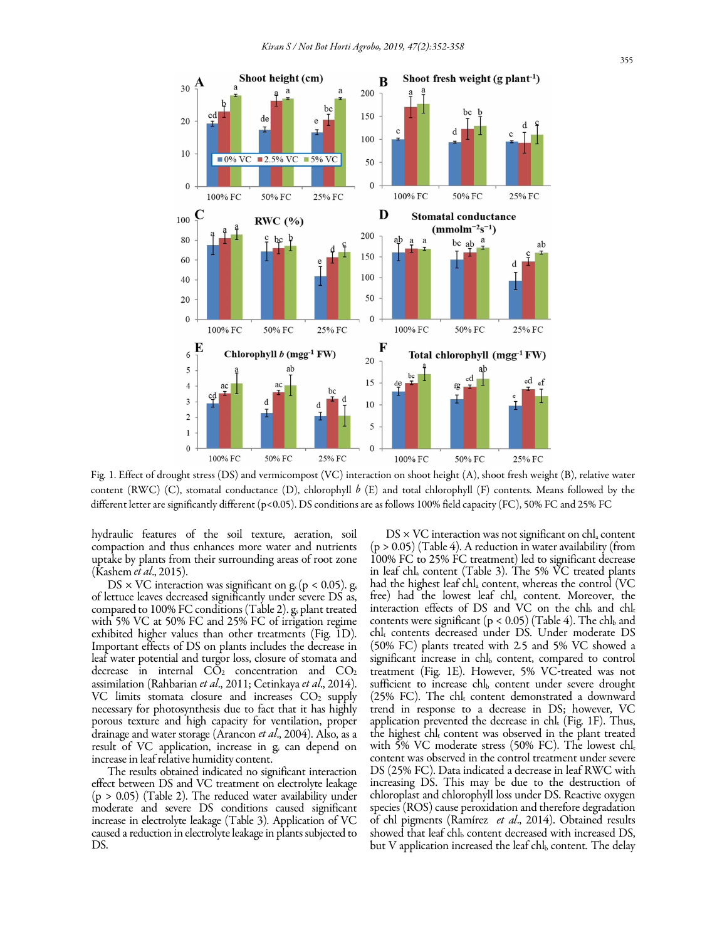

Fig. 1. Effect of drought stress (DS) and vermicompost (VC) interaction on shoot height (A), shoot fresh weight (B), relative water content (RWC) (C), stomatal conductance (D), chlorophyll *b* (E) and total chlorophyll (F) contents. Means followed by the different letter are significantly different (p<0.05). DS conditions are as follows 100% field capacity (FC), 50% FC and 25% FC

hydraulic features of the soil texture, aeration, soil compaction and thus enhances more water and nutrients uptake by plants from their surrounding areas of root zone (Kashem *et al*., 2015).

 $DS \times VC$  interaction was significant on g<sub>s</sub> (p < 0.05). g<sub>s</sub> of lettuce leaves decreased significantly under severe DS as, compared to 100% FC conditions (Table 2).  $g_s$  plant treated with 5% VC at 50% FC and 25% FC of irrigation regime exhibited higher values than other treatments (Fig. 1D). Important effects of DS on plants includes the decrease in leaf water potential and turgor loss, closure of stomata and decrease in internal  $C\tilde{O}_2$  concentration and  $CO_2$ assimilation (Rahbarian *et al*., 2011; Cetinkaya *et al*., 2014). VC limits stomata closure and increases  $CO<sub>2</sub>$  supply necessary for photosynthesis due to fact that it has highly porous texture and high capacity for ventilation, proper drainage and water storage (Arancon *et al*., 2004). Also, as a result of VC application, increase in g<sub>s</sub> can depend on increase in leaf relative humidity content.

The results obtained indicated no significant interaction effect between DS and VC treatment on electrolyte leakage  $(p > 0.05)$  (Table 2). The reduced water availability under moderate and severe DS conditions caused significant increase in electrolyte leakage (Table 3). Application of VC caused a reduction in electrolyte leakage in plants subjected to DS.

 $DS \times VC$  interaction was not significant on chl<sub>a</sub> content  $(p > 0.05)$  (Table 4). A reduction in water availability (from 100% FC to 25% FC treatment) led to significant decrease in leaf chl<sup>a</sup> content (Table 3). The 5% VC treated plants had the highest leaf chl<sup>a</sup> content, whereas the control (VC free) had the lowest leaf chl<sub>a</sub> content. Moreover, the interaction effects of DS and VC on the chl $_b$  and chl $_t$ contents were significant  $(p < 0.05)$  (Table 4). The chl and chl<sup>t</sup> contents decreased under DS. Under moderate DS (50% FC) plants treated with 2*.*5 and 5% VC showed a significant increase in chl<sub>b</sub> content, compared to control treatment (Fig. 1E). However, 5% VC*-*treated was not sufficient to increase chl<sub>b</sub> content under severe drought (25% FC). The chl $_{t}$  content demonstrated a downward trend in response to a decrease in DS; however, VC application prevented the decrease in  $\text{ch}\mathbf{l}_{t}$  (Fig. 1F). Thus, the highest  $\text{chl}_{t}$  content was observed in the plant treated with 5% VC moderate stress (50% FC). The lowest chl<sub>t</sub> content was observed in the control treatment under severe DS (25% FC). Data indicated a decrease in leaf RWC with increasing DS. This may be due to the destruction of chloroplast and chlorophyll loss under DS. Reactive oxygen species (ROS) cause peroxidation and therefore degradation of chl pigments (Ramírez *et al*., 2014). Obtained results showed that leaf chl<sup>b</sup> content decreased with increased DS, but V application increased the leaf chl<sub>b</sub> content. The delay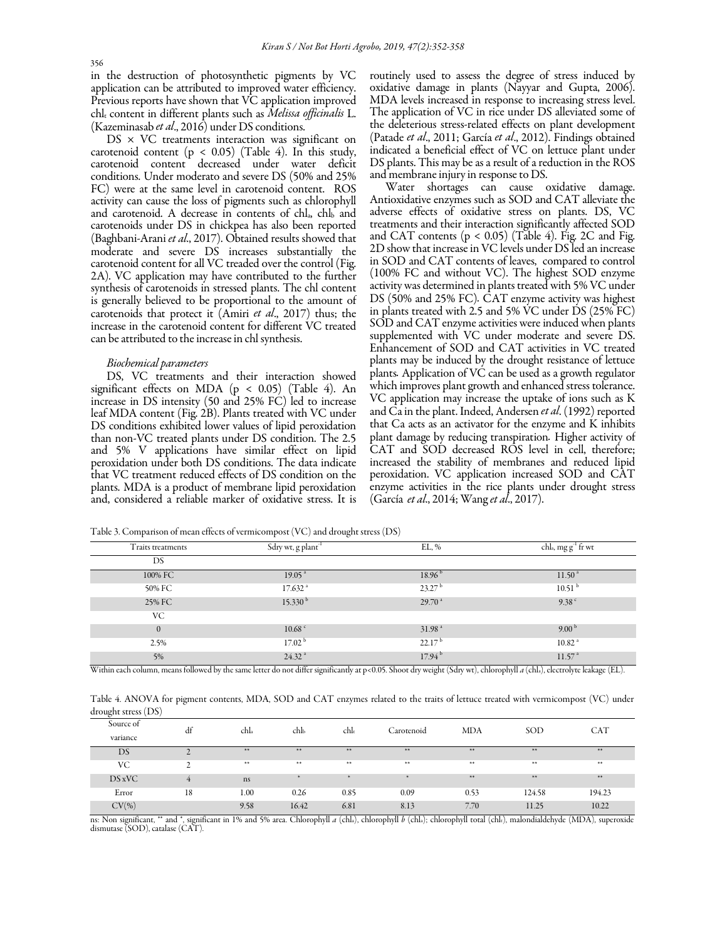in the destruction of photosynthetic pigments by VC application can be attributed to improved water efficiency. Previous reports have shown that VC application improved chlt content in different plants such as *Melissa officinalis* L. (Kazeminasab *et al*., 2016) under DS conditions.

 $DS \times VC$  treatments interaction was significant on carotenoid content ( $p < 0.05$ ) (Table 4). In this study, carotenoid content decreased under water deficit conditions. Under moderato and severe DS (50% and 25% FC) were at the same level in carotenoid content. ROS activity can cause the loss of pigments such as chlorophyll and carotenoid. A decrease in contents of chl<sub>a</sub>, chl<sub>b</sub> and carotenoids under DS in chickpea has also been reported (Baghbani-Arani *et al*., 2017). Obtained results showed that moderate and severe DS increases substantially the carotenoid content for all VC treaded over the control (Fig. 2A). VC application may have contributed to the further synthesis of carotenoids in stressed plants. The chl content is generally believed to be proportional to the amount of carotenoids that protect it (Amiri *et al*., 2017) thus; the increase in the carotenoid content for different VC treated can be attributed to the increase in chl synthesis.

## *Biochemical parameters*

DS, VC treatments and their interaction showed significant effects on MDA ( $p < 0.05$ ) (Table 4). An increase in DS intensity (50 and 25% FC) led to increase leaf MDA content (Fig. 2B). Plants treated with VC under DS conditions exhibited lower values of lipid peroxidation than non-VC treated plants under DS condition. The 2.5 and 5% V applications have similar effect on lipid peroxidation under both DS conditions. The data indicate that VC treatment reduced effects of DS condition on the plants. MDA is a product of membrane lipid peroxidation and, considered a reliable marker of oxidative stress. It is routinely used to assess the degree of stress induced by oxidative damage in plants (Nayyar and Gupta, 2006). MDA levels increased in response to increasing stress level. The application of VC in rice under DS alleviated some of the deleterious stress-related effects on plant development (Patade *et al*., 2011; García *et al*., 2012). Findings obtained indicated a beneficial effect of VC on lettuce plant under DS plants. This may be as a result of a reduction in the ROS and membrane injury in response to DS.

Water shortages can cause oxidative damage. Antioxidative enzymes such as SOD and CAT alleviate the adverse effects of oxidative stress on plants. DS, VC treatments and their interaction significantly affected SOD and CAT contents  $(p < 0.05)$  (Table 4). Fig. 2C and Fig. 2D show that increase in VC levels under DS led an increase in SOD and CAT contents of leaves, compared to control (100% FC and without VC). The highest SOD enzyme activity was determined in plants treated with 5% VC under DS (50% and 25% FC)*.* CAT enzyme activity was highest in plants treated with 2.5 and 5% VC under DS (25% FC) SOD and CAT enzyme activities were induced when plants supplemented with VC under moderate and severe DS. Enhancement of SOD and CAT activities in VC treated plants may be induced by the drought resistance of lettuce plants*.* Application of VC can be used as a growth regulator which improves plant growth and enhanced stress tolerance. VC application may increase the uptake of ions such as K and Ca in the plant. Indeed, Andersen *et al*. (1992) reported that Ca acts as an activator for the enzyme and K inhibits plant damage by reducing transpiration*.* Higher activity of CAT and SOD decreased ROS level in cell, therefore; increased the stability of membranes and reduced lipid peroxidation. VC application increased SOD and CAT enzyme activities in the rice plants under drought stress (García *et al*., 2014; Wang *et al*., 2017).

Table 3. Comparison of mean effects of vermicompost (VC) and drought stress (DS)

| Traits treatments | Sdry wt, g plant <sup>-1</sup> | EL, %              | chla, mg g <sup>-1</sup> fr wt |  |
|-------------------|--------------------------------|--------------------|--------------------------------|--|
| DS                |                                |                    |                                |  |
| 100% FC           | 19.05 <sup>a</sup>             | 18.96 <sup>b</sup> | 11.50 <sup>a</sup>             |  |
| 50% FC            | $17.632$ <sup>a</sup>          | 23.27 <sup>b</sup> | 10.51 <sup>b</sup>             |  |
| 25% FC            | 15.330 <sup>b</sup>            | 29.70 <sup>a</sup> | 9.38 <sup>c</sup>              |  |
| VC                |                                |                    |                                |  |
| $\Omega$          | 10.68 <sup>c</sup>             | 31.98 <sup>a</sup> | 9.00 <sup>b</sup>              |  |
| 2.5%              | 17.02 <sup>b</sup>             | 22.17 <sup>b</sup> | 10.82 <sup>a</sup>             |  |
| 5%                | 24.32 <sup>a</sup>             | 17.94 <sup>b</sup> | 11.57 <sup>a</sup>             |  |

Within each column, means followed by the same letter do not differ significantly at p<0.05. Shoot dry weight (Sdry wt), chlorophyll a (chla), electrolyte leakage (EL).

Table 4. ANOVA for pigment contents, MDA, SOD and CAT enzymes related to the traits of lettuce treated with vermicompost (VC) under drought stress (DS)

| Source of<br>. .<br>variance | dt | chla         | chlь  | chl       | Carotenoid         | <b>MDA</b>   | SOD    | <b>CAT</b> |
|------------------------------|----|--------------|-------|-----------|--------------------|--------------|--------|------------|
| DS                           |    | **           | **    | **        | 米米                 | **           | **     | **         |
| VC                           |    | $\star\star$ | **    | **        | **                 | $\star\star$ | **     | **         |
| DS xVC                       |    | ns           |       |           |                    | **           | **     | **         |
| Error                        | 18 | 1.00         | 0.26  | 0.85      | 0.09               | 0.53         | 124.58 | 194.23     |
| $CV(\% )$                    |    | 9.58         | 16.42 | 6.81<br>. | 8.13<br>. <b>.</b> | 7.70<br>.    | 11.25  | 10.22      |

ns: Non significant, \*\* and \*, significant in 1% and 5% area. Chlorophyll *a* (chla), chlorophyll *b* (chla); chlorophyll total (chlt), malondialdehyde (MDA), superoxide dismutase (SOD), catalase (CAT).

356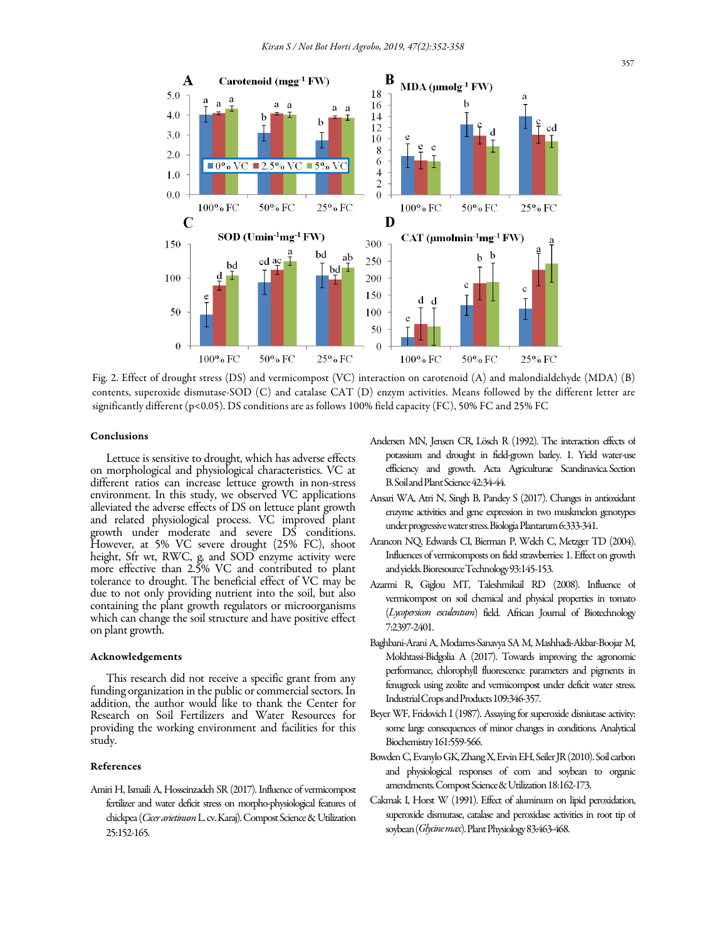

Fig. 2. Effect of drought stress (DS) and vermicompost (VC) interaction on carotenoid (A) and malondialdehyde (MDA) (B) contents, superoxide dismutase-SOD (C) and catalase CAT (D) enzym activities. Means followed by the different letter are significantly different (p<0.05). DS conditions are as follows 100% field capacity (FC), 50% FC and 25% FC

# Conclusions

Lettuce is sensitive to drought, which has adverse effects on morphological and physiological characteristics. VC at different ratios can increase lettuce growth in non-stress environment. In this study, we observed VC applications alleviated the adverse effects of DS on lettuce plant growth and related physiological process. VC improved plant growth under moderate and severe DS conditions. However, at 5% VC severe drought (25% FC), shoot height, Sfr wt, RWC, g, and SOD enzyme activity were more effective than 2.5% VC and contributed to plant tolerance to drought. The beneficial effect of VC may be due to not only providing nutrient into the soil, but also containing the plant growth regulators or microorganisms which can change the soil structure and have positive effect on plant growth.

#### Acknowledgements

This research did not receive a specific grant from any funding organization in the public or commercial sectors. In addition, the author would like to thank the Center for Research on Soil Fertilizers and Water Resources for providing the working environment and facilities for this study.

## References

Amiri H, Ismaili A, Hosseinzadeh SR (2017). Influence of vermicompost fertilizer and water deficit stress on morpho-physiological features of chickpea (*Cicer arietinum* L. cv. Karaj). Compost Science & Utilization 25:152-165.

- Andersen MN, Jensen CR, Lösch R (1992). The interaction effects of potassium and drought in field-grown barley. 1. Yield water-use efficiency and growth. Acta Agriculturae Scandinavica. Section B. Soil and Plant Science 42:34-44.
- Ansari WA, Atri N, Singh B, Pandey S (2017). Changes in antioxidant enzyme activities and gene expression in two muskmelon genotypes under progressive water stress. Biologia Plantarum6:333-341.
- Arancon NQ, Edwards CI, Bierman P, Welch C, Metzger TD (2004). Influences of vermicomposts on field strawberries: 1. Effect on growth and yields. Bioresource Technology 93:145-153.
- Azarmi R, Giglou MT, Taleshmikail RD (2008). Influence of vermicompost on soil chemical and physical properties in tomato (*Lycopersicon esculentum*) field. African Journal of Biotechnology 7:2397-2401.
- Baghbani-Arani A, Modarres-Sanavya SA M, Mashhadi-Akbar-Boojar M, Mokhtassi-Bidgolia A (2017). Towards improving the agronomic performance, chlorophyll fluorescence parameters and pigments in fenugreek using zeolite and vermicompost under deficit water stress. Industrial Crops and Products 109:346-357.
- Beyer WF, Fridovich I (1987). Assaying for superoxide disniutase activity: some large consequences of minor changes in conditions. Analytical Biochemistry 161:559-566.
- Bowden C, Evanylo GK, Zhang X, Ervin EH, Seiler JR (2010). Soil carbon and physiological responses of corn and soybean to organic amendments. Compost Science & Utilization 18:162-173.
- Cakmak I, Horst W (1991). Effect of aluminum on lipid peroxidation, superoxide dismutase, catalase and peroxidase activities in root tip of soybean (*Glycine max*). Plant Physiology 83:463-468.